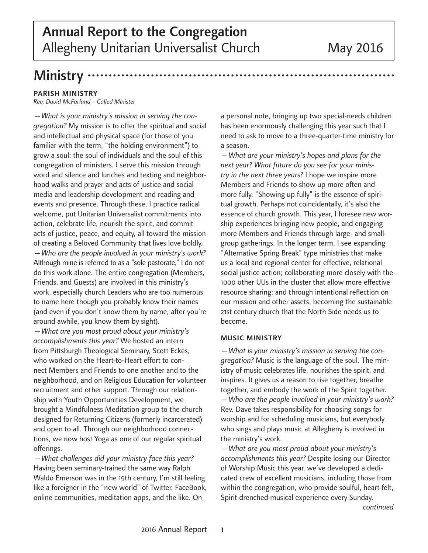# **Ministry**

## **PARISH MINISTRY**

*Rev. David McFarland – Called Minister*

—*What is your ministry's mission in serving the congregation?* My mission is to offer the spiritual and social and intellectual and physical space (for those of you familiar with the term, "the holding environment") to grow a soul: the soul of individuals and the soul of this congregation of ministers. I serve this mission through word and silence and lunches and texting and neighborhood walks and prayer and acts of justice and social media and leadership development and reading and events and presence. Through these, I practice radical welcome, put Unitarian Universalist commitments into action, celebrate life, nourish the spirit, and commit acts of justice, peace, and equity, all toward the mission of creating a Beloved Community that lives love boldly. —*Who are the people involved in your ministry's work?* Although mine is referred to as a "sole pastorate," I do not do this work alone. The entire congregation (Members, Friends, and Guests) are involved in this ministry's work, especially church Leaders who are too numerous to name here though you probably know their names (and even if you don't know them by name, after you're around awhile, you know them by sight). —*What are you most proud about your ministry's accomplishments this year?* We hosted an intern from Pittsburgh Theological Seminary, Scott Eckes, who worked on the Heart-to-Heart effort to connect Members and Friends to one another and to the neighborhood, and on Religious Education for volunteer recruitment and other support. Through our relationship with Youth Opportunities Development, we brought a Mindfulness Meditation group to the church designed for Returning Citizens (formerly incarcerated) and open to all. Through our neighborhood connections, we now host Yoga as one of our regular spiritual offerings.

—*What challenges did your ministry face this year?*  Having been seminary-trained the same way Ralph Waldo Emerson was in the 19th century, I'm still feeling like a foreigner in the "new world" of Twitter, FaceBook, online communities, meditation apps, and the like. On

a personal note, bringing up two special-needs children has been enormously challenging this year such that I need to ask to move to a three-quarter-time ministry for a season.

—*What are your ministry's hopes and plans for the next year? What future do you see for your ministry in the next three years?* I hope we inspire more Members and Friends to show up more often and more fully. "Showing up fully" is the essence of spiritual growth. Perhaps not coincidentally, it's also the essence of church growth. This year, I foresee new worship experiences bringing new people, and engaging more Members and Friends through large- and smallgroup gatherings. In the longer term, I see expanding "Alternative Spring Break" type ministries that make us a local and regional center for effective, relational social justice action; collaborating more closely with the 1000 other UUs in the cluster that allow more effective resource sharing; and through intentional reflection on our mission and other assets, becoming the sustainable 21st century church that the North Side needs us to become.

### **MUSIC MINISTRY**

—*What is your ministry's mission in serving the congregation?* Music is the language of the soul. The ministry of music celebrates life, nourishes the spirit, and inspires. It gives us a reason to rise together, breathe together, and embody the work of the Spirit together. —*Who are the people involved in your ministry's work?*  Rev. Dave takes responsibility for choosing songs for worship and for scheduling musicians, but everybody who sings and plays music at Allegheny is involved in the ministry's work.

*—What are you most proud about your ministry's accomplishments this year?* Despite losing our Director of Worship Music this year, we've developed a dedicated crew of excellent musicians, including those from within the congregation, who provide soulful, heart-felt, Spirit-drenched musical experience every Sunday.

*continued*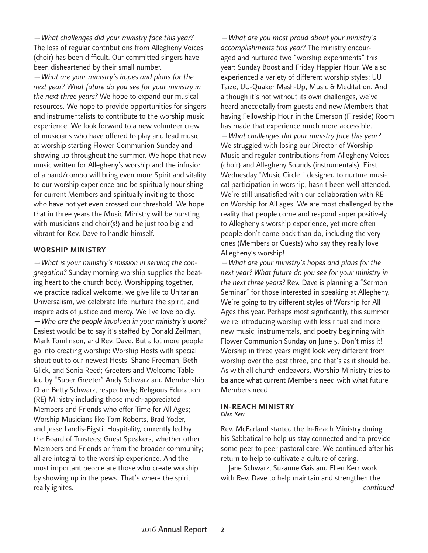*—What challenges did your ministry face this year?* The loss of regular contributions from Allegheny Voices (choir) has been difficult. Our committed singers have been disheartened by their small number. *—What are your ministry's hopes and plans for the next year? What future do you see for your ministry in the next three years?* We hope to expand our musical resources. We hope to provide opportunities for singers and instrumentalists to contribute to the worship music experience. We look forward to a new volunteer crew of musicians who have offered to play and lead music at worship starting Flower Communion Sunday and showing up throughout the summer. We hope that new music written for Allegheny's worship and the infusion of a band/combo will bring even more Spirit and vitality to our worship experience and be spiritually nourishing for current Members and spiritually inviting to those who have not yet even crossed our threshold. We hope that in three years the Music Ministry will be bursting with musicians and choir(s!) and be just too big and vibrant for Rev. Dave to handle himself.

#### **WORSHIP MINISTRY**

*—What is your ministry's mission in serving the congregation?* Sunday morning worship supplies the beating heart to the church body. Worshipping together, we practice radical welcome, we give life to Unitarian Universalism, we celebrate life, nurture the spirit, and inspire acts of justice and mercy. We live love boldly. *—Who are the people involved in your ministry's work?* Easiest would be to say it's staffed by Donald Zeilman, Mark Tomlinson, and Rev. Dave. But a lot more people go into creating worship: Worship Hosts with special shout-out to our newest Hosts, Shane Freeman, Beth Glick, and Sonia Reed; Greeters and Welcome Table led by "Super Greeter" Andy Schwarz and Membership Chair Betty Schwarz, respectively; Religious Education (RE) Ministry including those much-appreciated Members and Friends who offer Time for All Ages; Worship Musicians like Tom Roberts, Brad Yoder, and Jesse Landis-Eigsti; Hospitality, currently led by the Board of Trustees; Guest Speakers, whether other Members and Friends or from the broader community; all are integral to the worship experience. And the most important people are those who create worship by showing up in the pews. That's where the spirit really ignites.

*—What are you most proud about your ministry's accomplishments this year?* The ministry encouraged and nurtured two "worship experiments" this year: Sunday Boost and Friday Happier Hour. We also experienced a variety of different worship styles: UU Taize, UU-Quaker Mash-Up, Music & Meditation. And although it's not without its own challenges, we've heard anecdotally from guests and new Members that having Fellowship Hour in the Emerson (Fireside) Room has made that experience much more accessible. *—What challenges did your ministry face this year?*  We struggled with losing our Director of Worship Music and regular contributions from Allegheny Voices (choir) and Allegheny Sounds (instrumentals). First Wednesday "Music Circle," designed to nurture musical participation in worship, hasn't been well attended. We're still unsatisfied with our collaboration with RE on Worship for All ages. We are most challenged by the reality that people come and respond super positively to Allegheny's worship experience, yet more often people don't come back than do, including the very ones (Members or Guests) who say they really love Allegheny's worship!

*—What are your ministry's hopes and plans for the next year? What future do you see for your ministry in the next three years?* Rev. Dave is planning a "Sermon Seminar" for those interested in speaking at Allegheny. We're going to try different styles of Worship for All Ages this year. Perhaps most significantly, this summer we're introducing worship with less ritual and more new music, instrumentals, and poetry beginning with Flower Communion Sunday on June 5. Don't miss it! Worship in three years might look very different from worship over the past three, and that's as it should be. As with all church endeavors, Worship Ministry tries to balance what current Members need with what future Members need.

#### *Ellen Kerr* **IN-REACH MINISTRY**

Rev. McFarland started the In-Reach Ministry during his Sabbatical to help us stay connected and to provide some peer to peer pastoral care. We continued after his return to help to cultivate a culture of caring.

*continued* Jane Schwarz, Suzanne Gais and Ellen Kerr work with Rev. Dave to help maintain and strengthen the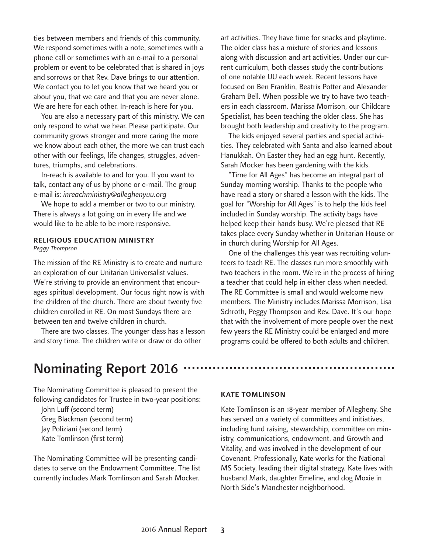ties between members and friends of this community. We respond sometimes with a note, sometimes with a phone call or sometimes with an e-mail to a personal problem or event to be celebrated that is shared in joys and sorrows or that Rev. Dave brings to our attention. We contact you to let you know that we heard you or about you, that we care and that you are never alone. We are here for each other. In-reach is here for you.

You are also a necessary part of this ministry. We can only respond to what we hear. Please participate. Our community grows stronger and more caring the more we know about each other, the more we can trust each other with our feelings, life changes, struggles, adventures, triumphs, and celebrations.

In-reach is available to and for you. If you want to talk, contact any of us by phone or e-mail. The group e-mail is: *inreachministry@alleghenyuu.org*

We hope to add a member or two to our ministry. There is always a lot going on in every life and we would like to be able to be more responsive.

# **RELIGIOUS EDUCATION MINISTRY**

*Peggy Thompson*

The mission of the RE Ministry is to create and nurture an exploration of our Unitarian Universalist values. We're striving to provide an environment that encourages spiritual development. Our focus right now is with the children of the church. There are about twenty five children enrolled in RE. On most Sundays there are between ten and twelve children in church.

There are two classes. The younger class has a lesson and story time. The children write or draw or do other

# Nominating Report 2016

The Nominating Committee is pleased to present the following candidates for Trustee in two-year positions:

John Luff (second term) Greg Blackman (second term) Jay Poliziani (second term) Kate Tomlinson (first term)

The Nominating Committee will be presenting candidates to serve on the Endowment Committee. The list currently includes Mark Tomlinson and Sarah Mocker.

art activities. They have time for snacks and playtime. The older class has a mixture of stories and lessons along with discussion and art activities. Under our current curriculum, both classes study the contributions of one notable UU each week. Recent lessons have focused on Ben Franklin, Beatrix Potter and Alexander Graham Bell. When possible we try to have two teachers in each classroom. Marissa Morrison, our Childcare Specialist, has been teaching the older class. She has brought both leadership and creativity to the program.

The kids enjoyed several parties and special activities. They celebrated with Santa and also learned about Hanukkah. On Easter they had an egg hunt. Recently, Sarah Mocker has been gardening with the kids.

"Time for All Ages" has become an integral part of Sunday morning worship. Thanks to the people who have read a story or shared a lesson with the kids. The goal for "Worship for All Ages" is to help the kids feel included in Sunday worship. The activity bags have helped keep their hands busy. We're pleased that RE takes place every Sunday whether in Unitarian House or in church during Worship for All Ages.

One of the challenges this year was recruiting volunteers to teach RE. The classes run more smoothly with two teachers in the room. We're in the process of hiring a teacher that could help in either class when needed. The RE Committee is small and would welcome new members. The Ministry includes Marissa Morrison, Lisa Schroth, Peggy Thompson and Rev. Dave. It's our hope that with the involvement of more people over the next few years the RE Ministry could be enlarged and more programs could be offered to both adults and children.

#### **KATE TOMLINSON**

Kate Tomlinson is an 18-year member of Allegheny. She has served on a variety of committees and initiatives, including fund raising, stewardship, committee on ministry, communications, endowment, and Growth and Vitality, and was involved in the development of our Covenant. Professionally, Kate works for the National MS Society, leading their digital strategy. Kate lives with husband Mark, daughter Emeline, and dog Moxie in North Side's Manchester neighborhood.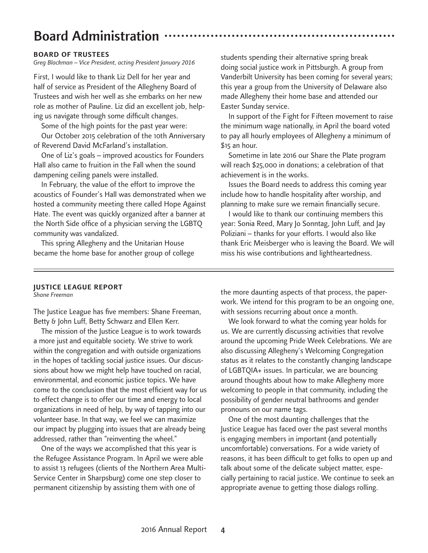# Board Administration

*Greg Blackman – Vice President, acting President January 2016*

First, I would like to thank Liz Dell for her year and half of service as President of the Allegheny Board of Trustees and wish her well as she embarks on her new role as mother of Pauline. Liz did an excellent job, helping us navigate through some difficult changes.

Some of the high points for the past year were: Our October 2015 celebration of the 10th Anniversary of Reverend David McFarland's installation.

One of Liz's goals – improved acoustics for Founders Hall also came to fruition in the Fall when the sound dampening ceiling panels were installed.

In February, the value of the effort to improve the acoustics of Founder's Hall was demonstrated when we hosted a community meeting there called Hope Against Hate. The event was quickly organized after a banner at the North Side office of a physician serving the LGBTQ community was vandalized.

This spring Allegheny and the Unitarian House became the home base for another group of college

**BOARD OF TRUSTEES** students spending their alternative spring break doing social justice work in Pittsburgh. A group from Vanderbilt University has been coming for several years; this year a group from the University of Delaware also made Allegheny their home base and attended our Easter Sunday service.

> In support of the Fight for Fifteen movement to raise the minimum wage nationally, in April the board voted to pay all hourly employees of Allegheny a minimum of \$15 an hour.

Sometime in late 2016 our Share the Plate program will reach \$25,000 in donations; a celebration of that achievement is in the works.

Issues the Board needs to address this coming year include how to handle hospitality after worship, and planning to make sure we remain financially secure.

I would like to thank our continuing members this year: Sonia Reed, Mary Jo Sonntag, John Luff, and Jay Poliziani – thanks for your efforts. I would also like thank Eric Meisberger who is leaving the Board. We will miss his wise contributions and lightheartedness.

#### **JUSTICE LEAGUE REPORT** *Shane Freeman*

The Justice League has five members: Shane Freeman, Betty & John Luff, Betty Schwarz and Ellen Kerr.

The mission of the Justice League is to work towards a more just and equitable society. We strive to work within the congregation and with outside organizations in the hopes of tackling social justice issues. Our discussions about how we might help have touched on racial, environmental, and economic justice topics. We have come to the conclusion that the most efficient way for us to effect change is to offer our time and energy to local organizations in need of help, by way of tapping into our volunteer base. In that way, we feel we can maximize our impact by plugging into issues that are already being addressed, rather than "reinventing the wheel."

One of the ways we accomplished that this year is the Refugee Assistance Program. In April we were able to assist 13 refugees (clients of the Northern Area Multi-Service Center in Sharpsburg) come one step closer to permanent citizenship by assisting them with one of

the more daunting aspects of that process, the paperwork. We intend for this program to be an ongoing one, with sessions recurring about once a month.

We look forward to what the coming year holds for us. We are currently discussing activities that revolve around the upcoming Pride Week Celebrations. We are also discussing Allegheny's Welcoming Congregation status as it relates to the constantly changing landscape of LGBTQIA+ issues. In particular, we are bouncing around thoughts about how to make Allegheny more welcoming to people in that community, including the possibility of gender neutral bathrooms and gender pronouns on our name tags.

One of the most daunting challenges that the Justice League has faced over the past several months is engaging members in important (and potentially uncomfortable) conversations. For a wide variety of reasons, it has been difficult to get folks to open up and talk about some of the delicate subject matter, especially pertaining to racial justice. We continue to seek an appropriate avenue to getting those dialogs rolling.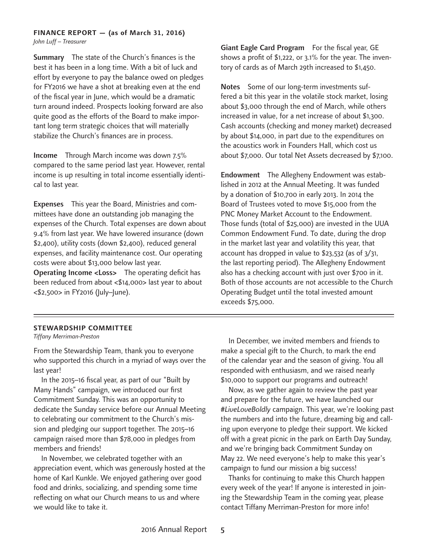## **FINANCE REPORT — (as of March 31, 2016)**

*John Luff – Treasurer*

Summary The state of the Church's finances is the best it has been in a long time. With a bit of luck and effort by everyone to pay the balance owed on pledges for FY2016 we have a shot at breaking even at the end of the fiscal year in June, which would be a dramatic turn around indeed. Prospects looking forward are also quite good as the efforts of the Board to make important long term strategic choices that will materially stabilize the Church's finances are in process.

Income Through March income was down 7.5% compared to the same period last year. However, rental income is up resulting in total income essentially identical to last year.

Expenses This year the Board, Ministries and committees have done an outstanding job managing the expenses of the Church. Total expenses are down about 9.4% from last year. We have lowered insurance (down \$2,400), utility costs (down \$2,400), reduced general expenses, and facility maintenance cost. Our operating costs were about \$13,000 below last year. Operating Income <Loss> The operating deficit has been reduced from about <\$14,000> last year to about <\$2,500> in FY2016 (July–June).

Giant Eagle Card Program For the fiscal year, GE shows a profit of \$1,222, or 3.1% for the year. The inventory of cards as of March 29th increased to \$1,450.

Notes Some of our long-term investments suffered a bit this year in the volatile stock market, losing about \$3,000 through the end of March, while others increased in value, for a net increase of about \$1,300. Cash accounts (checking and money market) decreased by about \$14,000, in part due to the expenditures on the acoustics work in Founders Hall, which cost us about \$7,000. Our total Net Assets decreased by \$7,100.

Endowment The Allegheny Endowment was established in 2012 at the Annual Meeting. It was funded by a donation of \$10,700 in early 2013. In 2014 the Board of Trustees voted to move \$15,000 from the PNC Money Market Account to the Endowment. Those funds (total of \$25,000) are invested in the UUA Common Endowment Fund. To date, during the drop in the market last year and volatility this year, that account has dropped in value to \$23,532 (as of 3/31, the last reporting period). The Allegheny Endowment also has a checking account with just over \$700 in it. Both of those accounts are not accessible to the Church Operating Budget until the total invested amount exceeds \$75,000.

# **STEWARDSHIP COMMITTEE**<br>Tiffany Merriman-Preston

From the Stewardship Team, thank you to everyone who supported this church in a myriad of ways over the last year!

In the 2015–16 fiscal year, as part of our "Built by Many Hands" campaign, we introduced our first Commitment Sunday. This was an opportunity to dedicate the Sunday service before our Annual Meeting to celebrating our commitment to the Church's mission and pledging our support together. The 2015–16 campaign raised more than \$78,000 in pledges from members and friends!

In November, we celebrated together with an appreciation event, which was generously hosted at the home of Karl Kunkle. We enjoyed gathering over good food and drinks, socializing, and spending some time reflecting on what our Church means to us and where we would like to take it.

In December, we invited members and friends to make a special gift to the Church, to mark the end of the calendar year and the season of giving. You all responded with enthusiasm, and we raised nearly \$10,000 to support our programs and outreach!

Now, as we gather again to review the past year and prepare for the future, we have launched our *#LiveLoveBoldly* campaign. This year, we're looking past the numbers and into the future, dreaming big and calling upon everyone to pledge their support. We kicked off with a great picnic in the park on Earth Day Sunday, and we're bringing back Commitment Sunday on May 22. We need everyone's help to make this year's campaign to fund our mission a big success!

Thanks for continuing to make this Church happen every week of the year! If anyone is interested in joining the Stewardship Team in the coming year, please contact Tiffany Merriman-Preston for more info!